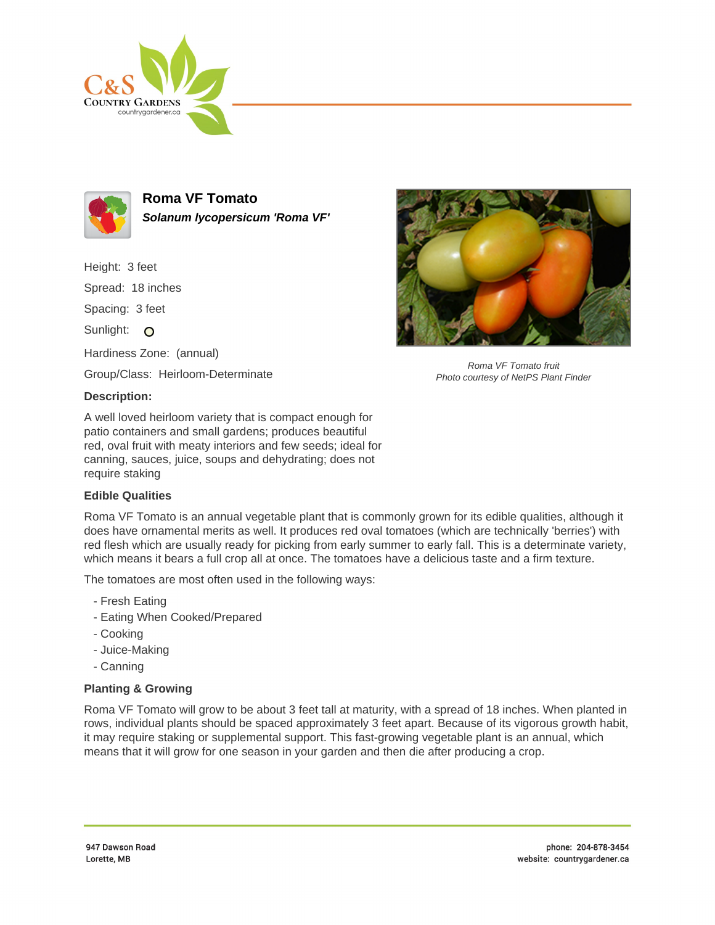



**Roma VF Tomato Solanum lycopersicum 'Roma VF'**

Height: 3 feet

Spread: 18 inches

Spacing: 3 feet

Sunlight: O

Hardiness Zone: (annual)

Group/Class: Heirloom-Determinate

## **Description:**

A well loved heirloom variety that is compact enough for patio containers and small gardens; produces beautiful red, oval fruit with meaty interiors and few seeds; ideal for canning, sauces, juice, soups and dehydrating; does not require staking

## **Edible Qualities**

Roma VF Tomato is an annual vegetable plant that is commonly grown for its edible qualities, although it does have ornamental merits as well. It produces red oval tomatoes (which are technically 'berries') with red flesh which are usually ready for picking from early summer to early fall. This is a determinate variety, which means it bears a full crop all at once. The tomatoes have a delicious taste and a firm texture.

The tomatoes are most often used in the following ways:

- Fresh Eating
- Eating When Cooked/Prepared
- Cooking
- Juice-Making
- Canning

## **Planting & Growing**

Roma VF Tomato will grow to be about 3 feet tall at maturity, with a spread of 18 inches. When planted in rows, individual plants should be spaced approximately 3 feet apart. Because of its vigorous growth habit, it may require staking or supplemental support. This fast-growing vegetable plant is an annual, which means that it will grow for one season in your garden and then die after producing a crop.



Roma VF Tomato fruit Photo courtesy of NetPS Plant Finder